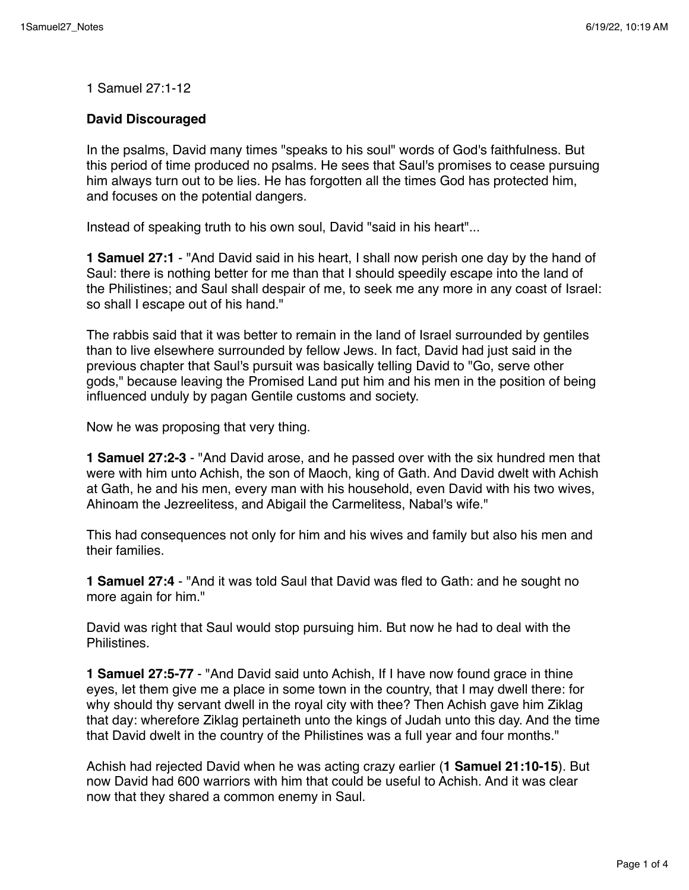1 Samuel 27:1-12

## **David Discouraged**

In the psalms, David many times "speaks to his soul" words of God's faithfulness. But this period of time produced no psalms. He sees that Saul's promises to cease pursuing him always turn out to be lies. He has forgotten all the times God has protected him, and focuses on the potential dangers.

Instead of speaking truth to his own soul, David "said in his heart"...

**1 Samuel 27:1** - "And David said in his heart, I shall now perish one day by the hand of Saul: there is nothing better for me than that I should speedily escape into the land of the Philistines; and Saul shall despair of me, to seek me any more in any coast of Israel: so shall I escape out of his hand."

The rabbis said that it was better to remain in the land of Israel surrounded by gentiles than to live elsewhere surrounded by fellow Jews. In fact, David had just said in the previous chapter that Saul's pursuit was basically telling David to "Go, serve other gods," because leaving the Promised Land put him and his men in the position of being influenced unduly by pagan Gentile customs and society.

Now he was proposing that very thing.

**1 Samuel 27:2-3** - "And David arose, and he passed over with the six hundred men that were with him unto Achish, the son of Maoch, king of Gath. And David dwelt with Achish at Gath, he and his men, every man with his household, even David with his two wives, Ahinoam the Jezreelitess, and Abigail the Carmelitess, Nabal's wife."

This had consequences not only for him and his wives and family but also his men and their families.

**1 Samuel 27:4** - "And it was told Saul that David was fled to Gath: and he sought no more again for him."

David was right that Saul would stop pursuing him. But now he had to deal with the **Philistines** 

**1 Samuel 27:5-77** - "And David said unto Achish, If I have now found grace in thine eyes, let them give me a place in some town in the country, that I may dwell there: for why should thy servant dwell in the royal city with thee? Then Achish gave him Ziklag that day: wherefore Ziklag pertaineth unto the kings of Judah unto this day. And the time that David dwelt in the country of the Philistines was a full year and four months."

Achish had rejected David when he was acting crazy earlier (**1 Samuel 21:10-15**). But now David had 600 warriors with him that could be useful to Achish. And it was clear now that they shared a common enemy in Saul.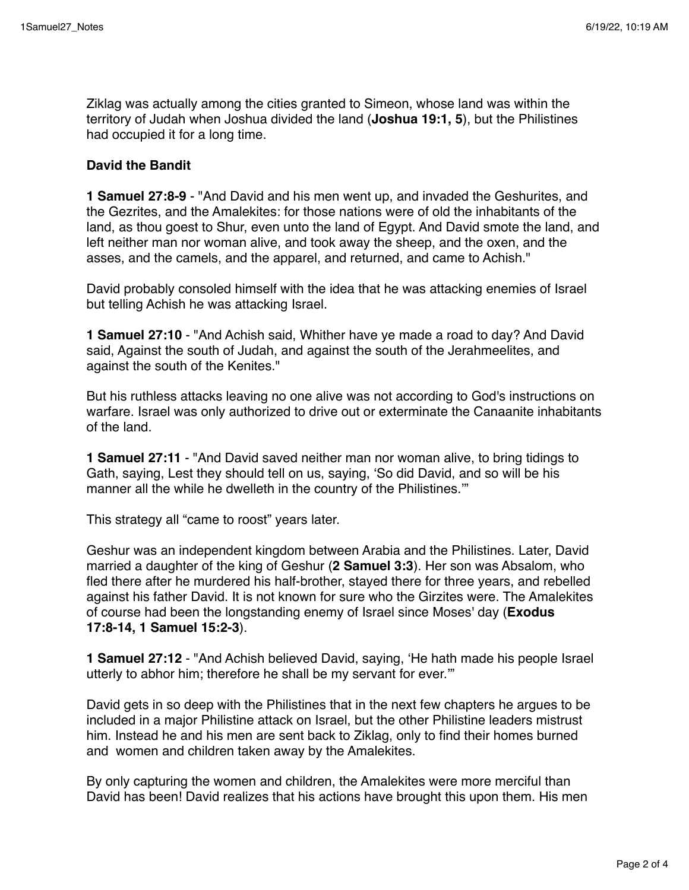Ziklag was actually among the cities granted to Simeon, whose land was within the territory of Judah when Joshua divided the land (**Joshua 19:1, 5**), but the Philistines had occupied it for a long time.

## **David the Bandit**

**1 Samuel 27:8-9** - "And David and his men went up, and invaded the Geshurites, and the Gezrites, and the Amalekites: for those nations were of old the inhabitants of the land, as thou goest to Shur, even unto the land of Egypt. And David smote the land, and left neither man nor woman alive, and took away the sheep, and the oxen, and the asses, and the camels, and the apparel, and returned, and came to Achish."

David probably consoled himself with the idea that he was attacking enemies of Israel but telling Achish he was attacking Israel.

**1 Samuel 27:10** - "And Achish said, Whither have ye made a road to day? And David said, Against the south of Judah, and against the south of the Jerahmeelites, and against the south of the Kenites."

But his ruthless attacks leaving no one alive was not according to God's instructions on warfare. Israel was only authorized to drive out or exterminate the Canaanite inhabitants of the land.

**1 Samuel 27:11** - "And David saved neither man nor woman alive, to bring tidings to Gath, saying, Lest they should tell on us, saying, 'So did David, and so will be his manner all the while he dwelleth in the country of the Philistines.'"

This strategy all "came to roost" years later.

Geshur was an independent kingdom between Arabia and the Philistines. Later, David married a daughter of the king of Geshur (**2 Samuel 3:3**). Her son was Absalom, who fled there after he murdered his half-brother, stayed there for three years, and rebelled against his father David. It is not known for sure who the Girzites were. The Amalekites of course had been the longstanding enemy of Israel since Moses' day (**Exodus 17:8-14, 1 Samuel 15:2-3**).

**1 Samuel 27:12** - "And Achish believed David, saying, 'He hath made his people Israel utterly to abhor him; therefore he shall be my servant for ever.'"

David gets in so deep with the Philistines that in the next few chapters he argues to be included in a major Philistine attack on Israel, but the other Philistine leaders mistrust him. Instead he and his men are sent back to Ziklag, only to find their homes burned and women and children taken away by the Amalekites.

By only capturing the women and children, the Amalekites were more merciful than David has been! David realizes that his actions have brought this upon them. His men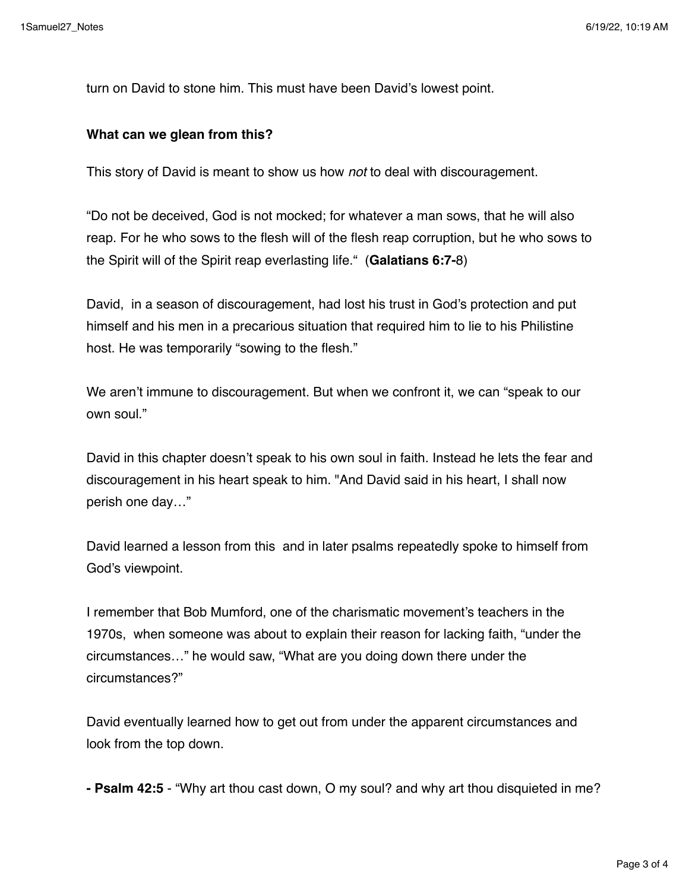turn on David to stone him. This must have been David's lowest point.

## **What can we glean from this?**

This story of David is meant to show us how *not* to deal with discouragement.

"Do not be deceived, God is not mocked; for whatever a man sows, that he will also reap. For he who sows to the flesh will of the flesh reap corruption, but he who sows to the Spirit will of the Spirit reap everlasting life." (**Galatians 6:7-**8)

David, in a season of discouragement, had lost his trust in God's protection and put himself and his men in a precarious situation that required him to lie to his Philistine host. He was temporarily "sowing to the flesh."

We aren't immune to discouragement. But when we confront it, we can "speak to our own soul."

David in this chapter doesn't speak to his own soul in faith. Instead he lets the fear and discouragement in his heart speak to him. "And David said in his heart, I shall now perish one day…"

David learned a lesson from this and in later psalms repeatedly spoke to himself from God's viewpoint.

I remember that Bob Mumford, one of the charismatic movement's teachers in the 1970s, when someone was about to explain their reason for lacking faith, "under the circumstances…" he would saw, "What are you doing down there under the circumstances?"

David eventually learned how to get out from under the apparent circumstances and look from the top down.

**- Psalm 42:5** - "Why art thou cast down, O my soul? and why art thou disquieted in me?